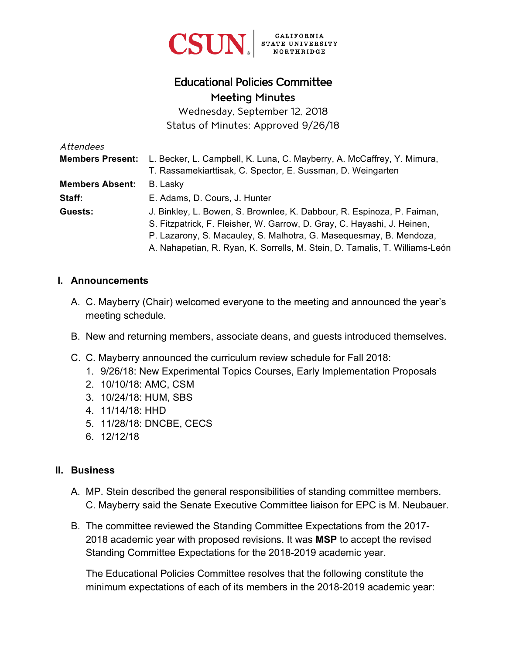

# Educational Policies Committee Meeting Minutes

Wednesday, September 12, 2018 Status of Minutes: Approved 9/26/18

| Attendees               |                                                                             |
|-------------------------|-----------------------------------------------------------------------------|
| <b>Members Present:</b> | L. Becker, L. Campbell, K. Luna, C. Mayberry, A. McCaffrey, Y. Mimura,      |
|                         | T. Rassamekiarttisak, C. Spector, E. Sussman, D. Weingarten                 |
| <b>Members Absent:</b>  | B. Lasky                                                                    |
| Staff:                  | E. Adams, D. Cours, J. Hunter                                               |
| Guests:                 | J. Binkley, L. Bowen, S. Brownlee, K. Dabbour, R. Espinoza, P. Faiman,      |
|                         | S. Fitzpatrick, F. Fleisher, W. Garrow, D. Gray, C. Hayashi, J. Heinen,     |
|                         | P. Lazarony, S. Macauley, S. Malhotra, G. Masequesmay, B. Mendoza,          |
|                         | A. Nahapetian, R. Ryan, K. Sorrells, M. Stein, D. Tamalis, T. Williams-León |

### **I. Announcements**

- A. C. Mayberry (Chair) welcomed everyone to the meeting and announced the year's meeting schedule.
- B. New and returning members, associate deans, and guests introduced themselves.
- C. C. Mayberry announced the curriculum review schedule for Fall 2018:
	- 1. 9/26/18: New Experimental Topics Courses, Early Implementation Proposals
	- 2. 10/10/18: AMC, CSM
	- 3. 10/24/18: HUM, SBS
	- 4. 11/14/18: HHD
	- 5. 11/28/18: DNCBE, CECS
	- 6. 12/12/18

### **II. Business**

- A. MP. Stein described the general responsibilities of standing committee members. C. Mayberry said the Senate Executive Committee liaison for EPC is M. Neubauer.
- B. The committee reviewed the Standing Committee Expectations from the 2017- 2018 academic year with proposed revisions. It was **MSP** to accept the revised Standing Committee Expectations for the 2018-2019 academic year.

The Educational Policies Committee resolves that the following constitute the minimum expectations of each of its members in the 2018-2019 academic year: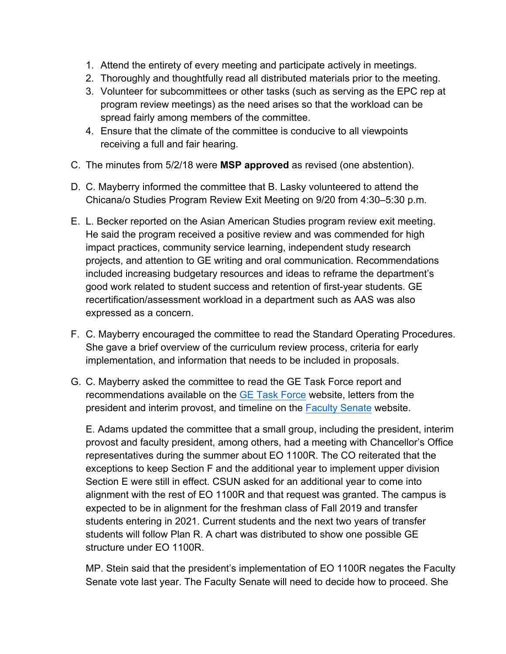- 1. Attend the entirety of every meeting and participate actively in meetings.
- 2. Thoroughly and thoughtfully read all distributed materials prior to the meeting.
- 3. Volunteer for subcommittees or other tasks (such as serving as the EPC rep at program review meetings) as the need arises so that the workload can be spread fairly among members of the committee.
- 4. Ensure that the climate of the committee is conducive to all viewpoints receiving a full and fair hearing.
- C. The minutes from 5/2/18 were **MSP approved** as revised (one abstention).
- D. C. Mayberry informed the committee that B. Lasky volunteered to attend the Chicana/o Studies Program Review Exit Meeting on 9/20 from 4:30–5:30 p.m.
- E. L. Becker reported on the Asian American Studies program review exit meeting. He said the program received a positive review and was commended for high impact practices, community service learning, independent study research projects, and attention to GE writing and oral communication. Recommendations included increasing budgetary resources and ideas to reframe the department's good work related to student success and retention of first-year students. GE recertification/assessment workload in a department such as AAS was also expressed as a concern.
- F. C. Mayberry encouraged the committee to read the Standard Operating Procedures. She gave a brief overview of the curriculum review process, criteria for early implementation, and information that needs to be included in proposals.
- G. C. Mayberry asked the committee to read the GE Task Force report and recommendations available on the [GE Task Force](https://www.csun.edu/faculty-senate/ge-task-force) website, letters from the president and interim provost, and timeline on the [Faculty Senate](https://www.csun.edu/faculty-senate) website.

E. Adams updated the committee that a small group, including the president, interim provost and faculty president, among others, had a meeting with Chancellor's Office representatives during the summer about EO 1100R. The CO reiterated that the exceptions to keep Section F and the additional year to implement upper division Section E were still in effect. CSUN asked for an additional year to come into alignment with the rest of EO 1100R and that request was granted. The campus is expected to be in alignment for the freshman class of Fall 2019 and transfer students entering in 2021. Current students and the next two years of transfer students will follow Plan R. A chart was distributed to show one possible GE structure under EO 1100R.

MP. Stein said that the president's implementation of EO 1100R negates the Faculty Senate vote last year. The Faculty Senate will need to decide how to proceed. She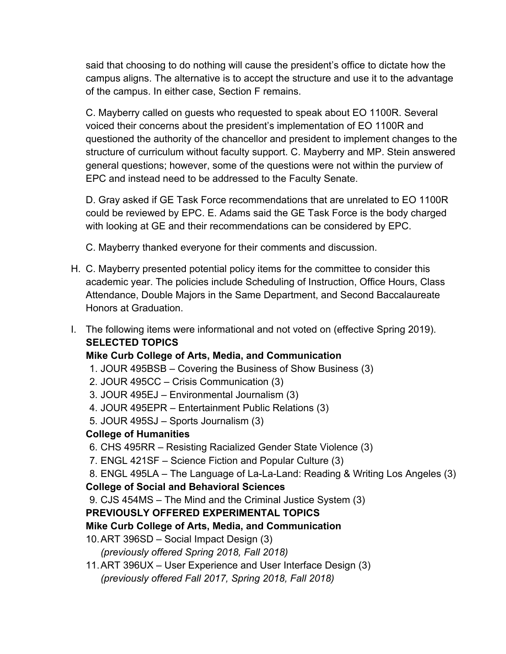said that choosing to do nothing will cause the president's office to dictate how the campus aligns. The alternative is to accept the structure and use it to the advantage of the campus. In either case, Section F remains.

C. Mayberry called on guests who requested to speak about EO 1100R. Several voiced their concerns about the president's implementation of EO 1100R and questioned the authority of the chancellor and president to implement changes to the structure of curriculum without faculty support. C. Mayberry and MP. Stein answered general questions; however, some of the questions were not within the purview of EPC and instead need to be addressed to the Faculty Senate.

D. Gray asked if GE Task Force recommendations that are unrelated to EO 1100R could be reviewed by EPC. E. Adams said the GE Task Force is the body charged with looking at GE and their recommendations can be considered by EPC.

C. Mayberry thanked everyone for their comments and discussion.

- H. C. Mayberry presented potential policy items for the committee to consider this academic year. The policies include Scheduling of Instruction, Office Hours, Class Attendance, Double Majors in the Same Department, and Second Baccalaureate Honors at Graduation.
- I. The following items were informational and not voted on (effective Spring 2019). **SELECTED TOPICS**

## **Mike Curb College of Arts, Media, and Communication**

- 1. JOUR 495BSB Covering the Business of Show Business (3)
- 2. JOUR 495CC Crisis Communication (3)
- 3. JOUR 495EJ Environmental Journalism (3)
- 4. JOUR 495EPR Entertainment Public Relations (3)
- 5. JOUR 495SJ Sports Journalism (3)

## **College of Humanities**

- 6. CHS 495RR Resisting Racialized Gender State Violence (3)
- 7. ENGL 421SF Science Fiction and Popular Culture (3)
- 8. ENGL 495LA The Language of La-La-Land: Reading & Writing Los Angeles (3)

## **College of Social and Behavioral Sciences**

9. CJS 454MS – The Mind and the Criminal Justice System (3)

## **PREVIOUSLY OFFERED EXPERIMENTAL TOPICS**

## **Mike Curb College of Arts, Media, and Communication**

- 10. ART 396SD Social Impact Design (3) *(previously offered Spring 2018, Fall 2018)*
- 11. ART 396UX User Experience and User Interface Design (3) *(previously offered Fall 2017, Spring 2018, Fall 2018)*